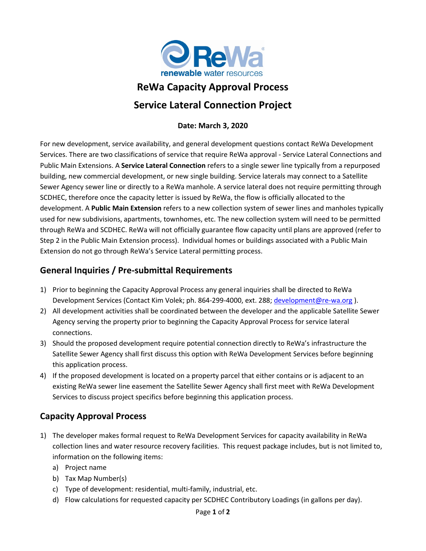

# **ReWa Capacity Approval Process Service Lateral Connection Project**

#### **Date: March 3, 2020**

For new development, service availability, and general development questions contact ReWa Development Services. There are two classifications of service that require ReWa approval - Service Lateral Connections and Public Main Extensions. A **Service Lateral Connection** refers to a single sewer line typically from a repurposed building, new commercial development, or new single building. Service laterals may connect to a Satellite Sewer Agency sewer line or directly to a ReWa manhole. A service lateral does not require permitting through SCDHEC, therefore once the capacity letter is issued by ReWa, the flow is officially allocated to the development. A **Public Main Extension** refers to a new collection system of sewer lines and manholes typically used for new subdivisions, apartments, townhomes, etc. The new collection system will need to be permitted through ReWa and SCDHEC. ReWa will not officially guarantee flow capacity until plans are approved (refer to Step 2 in the Public Main Extension process). Individual homes or buildings associated with a Public Main Extension do not go through ReWa's Service Lateral permitting process.

### **General Inquiries / Pre-submittal Requirements**

- 1) Prior to beginning the Capacity Approval Process any general inquiries shall be directed to ReWa Development Services (Contact Kim Volek; ph. 864-299-4000, ext. 288; [development@re-wa.org](mailto:development@re-wa.org) ).
- 2) All development activities shall be coordinated between the developer and the applicable Satellite Sewer Agency serving the property prior to beginning the Capacity Approval Process for service lateral connections.
- 3) Should the proposed development require potential connection directly to ReWa's infrastructure the Satellite Sewer Agency shall first discuss this option with ReWa Development Services before beginning this application process.
- 4) If the proposed development is located on a property parcel that either contains or is adjacent to an existing ReWa sewer line easement the Satellite Sewer Agency shall first meet with ReWa Development Services to discuss project specifics before beginning this application process.

## **Capacity Approval Process**

- 1) The developer makes formal request to ReWa Development Services for capacity availability in ReWa collection lines and water resource recovery facilities. This request package includes, but is not limited to, information on the following items:
	- a) Project name
	- b) Tax Map Number(s)
	- c) Type of development: residential, multi-family, industrial, etc.
	- d) Flow calculations for requested capacity per SCDHEC Contributory Loadings (in gallons per day).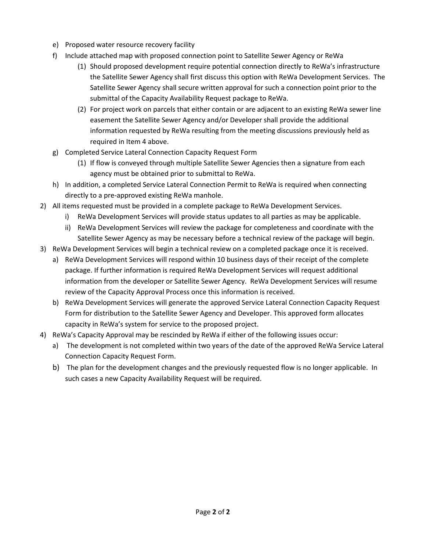- e) Proposed water resource recovery facility
- f) Include attached map with proposed connection point to Satellite Sewer Agency or ReWa
	- (1) Should proposed development require potential connection directly to ReWa's infrastructure the Satellite Sewer Agency shall first discuss this option with ReWa Development Services. The Satellite Sewer Agency shall secure written approval for such a connection point prior to the submittal of the Capacity Availability Request package to ReWa.
	- (2) For project work on parcels that either contain or are adjacent to an existing ReWa sewer line easement the Satellite Sewer Agency and/or Developer shall provide the additional information requested by ReWa resulting from the meeting discussions previously held as required in Item 4 above.
- g) Completed Service Lateral Connection Capacity Request Form
	- (1) If flow is conveyed through multiple Satellite Sewer Agencies then a signature from each agency must be obtained prior to submittal to ReWa.
- h) In addition, a completed Service Lateral Connection Permit to ReWa is required when connecting directly to a pre-approved existing ReWa manhole.
- 2) All items requested must be provided in a complete package to ReWa Development Services.
	- i) ReWa Development Services will provide status updates to all parties as may be applicable.
	- ii) ReWa Development Services will review the package for completeness and coordinate with the Satellite Sewer Agency as may be necessary before a technical review of the package will begin.
- 3) ReWa Development Services will begin a technical review on a completed package once it is received.
	- a) ReWa Development Services will respond within 10 business days of their receipt of the complete package. If further information is required ReWa Development Services will request additional information from the developer or Satellite Sewer Agency. ReWa Development Services will resume review of the Capacity Approval Process once this information is received.
	- b) ReWa Development Services will generate the approved Service Lateral Connection Capacity Request Form for distribution to the Satellite Sewer Agency and Developer. This approved form allocates capacity in ReWa's system for service to the proposed project.
- 4) ReWa's Capacity Approval may be rescinded by ReWa if either of the following issues occur:
	- a) The development is not completed within two years of the date of the approved ReWa Service Lateral Connection Capacity Request Form.
	- b) The plan for the development changes and the previously requested flow is no longer applicable. In such cases a new Capacity Availability Request will be required.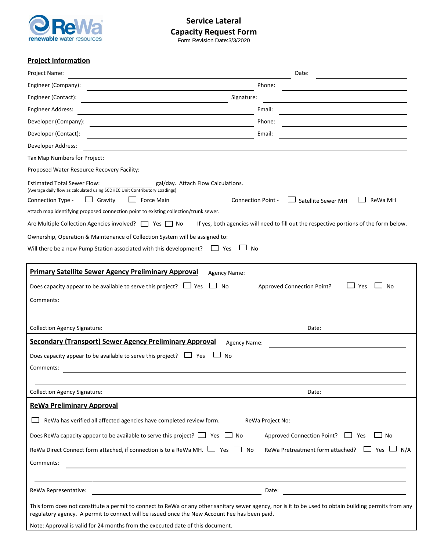

**Service Lateral Capacity Request Form**

Form Revision Date:3/3/2020

#### **Project Information**

| Project Name:                                                                                                                                                                                                                                                                                                                                                                                                                                                                                                                                                                                                                                                                                     | Date:                                                |
|---------------------------------------------------------------------------------------------------------------------------------------------------------------------------------------------------------------------------------------------------------------------------------------------------------------------------------------------------------------------------------------------------------------------------------------------------------------------------------------------------------------------------------------------------------------------------------------------------------------------------------------------------------------------------------------------------|------------------------------------------------------|
| Engineer (Company):                                                                                                                                                                                                                                                                                                                                                                                                                                                                                                                                                                                                                                                                               | Phone:                                               |
| Engineer (Contact):<br>Signature:                                                                                                                                                                                                                                                                                                                                                                                                                                                                                                                                                                                                                                                                 |                                                      |
| <b>Engineer Address:</b>                                                                                                                                                                                                                                                                                                                                                                                                                                                                                                                                                                                                                                                                          | Email:                                               |
| Developer (Company):                                                                                                                                                                                                                                                                                                                                                                                                                                                                                                                                                                                                                                                                              | Phone:                                               |
| Developer (Contact):                                                                                                                                                                                                                                                                                                                                                                                                                                                                                                                                                                                                                                                                              | Email:                                               |
| Developer Address:                                                                                                                                                                                                                                                                                                                                                                                                                                                                                                                                                                                                                                                                                |                                                      |
| Tax Map Numbers for Project:                                                                                                                                                                                                                                                                                                                                                                                                                                                                                                                                                                                                                                                                      |                                                      |
| Proposed Water Resource Recovery Facility:                                                                                                                                                                                                                                                                                                                                                                                                                                                                                                                                                                                                                                                        |                                                      |
| <b>Estimated Total Sewer Flow:</b><br>gal/day. Attach Flow Calculations.<br>(Average daily flow as calculated using SCDHEC Unit Contributory Loadings)<br>Satellite Sewer MH<br>Connection Type -<br>Gravity<br>Force Main<br><b>Connection Point -</b><br>ReWa MH<br>$\Box$<br>Attach map identifying proposed connection point to existing collection/trunk sewer.<br>If yes, both agencies will need to fill out the respective portions of the form below.<br>Are Multiple Collection Agencies involved?   Yes   No<br>Ownership, Operation & Maintenance of Collection System will be assigned to:<br>Will there be a new Pump Station associated with this development?<br><b>No</b><br>Yes |                                                      |
| <b>Primary Satellite Sewer Agency Preliminary Approval</b><br>Agency Name:<br>Does capacity appear to be available to serve this project? $\Box$ Yes<br>No<br>Comments:                                                                                                                                                                                                                                                                                                                                                                                                                                                                                                                           | <b>Approved Connection Point?</b><br>Yes<br>No       |
| <b>Collection Agency Signature:</b>                                                                                                                                                                                                                                                                                                                                                                                                                                                                                                                                                                                                                                                               | Date:                                                |
| <b>Secondary (Transport) Sewer Agency Preliminary Approval</b><br>Agency Name:                                                                                                                                                                                                                                                                                                                                                                                                                                                                                                                                                                                                                    |                                                      |
| Does capacity appear to be available to serve this project? $\Box$ Yes<br>No<br>Comments:                                                                                                                                                                                                                                                                                                                                                                                                                                                                                                                                                                                                         |                                                      |
| <b>Collection Agency Signature:</b>                                                                                                                                                                                                                                                                                                                                                                                                                                                                                                                                                                                                                                                               | Date:                                                |
| <b>ReWa Preliminary Approval</b>                                                                                                                                                                                                                                                                                                                                                                                                                                                                                                                                                                                                                                                                  |                                                      |
| ReWa has verified all affected agencies have completed review form.                                                                                                                                                                                                                                                                                                                                                                                                                                                                                                                                                                                                                               | ReWa Project No:                                     |
| Does ReWa capacity appear to be available to serve this project? $\Box$ Yes $\Box$ No                                                                                                                                                                                                                                                                                                                                                                                                                                                                                                                                                                                                             | Approved Connection Point? 7es<br>$\Box$ No          |
|                                                                                                                                                                                                                                                                                                                                                                                                                                                                                                                                                                                                                                                                                                   |                                                      |
| ReWa Direct Connect form attached, if connection is to a ReWa MH. $\Box$ Yes $\Box$<br>No<br>Comments:                                                                                                                                                                                                                                                                                                                                                                                                                                                                                                                                                                                            | ReWa Pretreatment form attached?<br>__ Yes __<br>N/A |
| ReWa Representative:                                                                                                                                                                                                                                                                                                                                                                                                                                                                                                                                                                                                                                                                              | Date:                                                |
| This form does not constitute a permit to connect to ReWa or any other sanitary sewer agency, nor is it to be used to obtain building permits from any                                                                                                                                                                                                                                                                                                                                                                                                                                                                                                                                            |                                                      |
| regulatory agency. A permit to connect will be issued once the New Account Fee has been paid.                                                                                                                                                                                                                                                                                                                                                                                                                                                                                                                                                                                                     |                                                      |
| Note: Approval is valid for 24 months from the executed date of this document.                                                                                                                                                                                                                                                                                                                                                                                                                                                                                                                                                                                                                    |                                                      |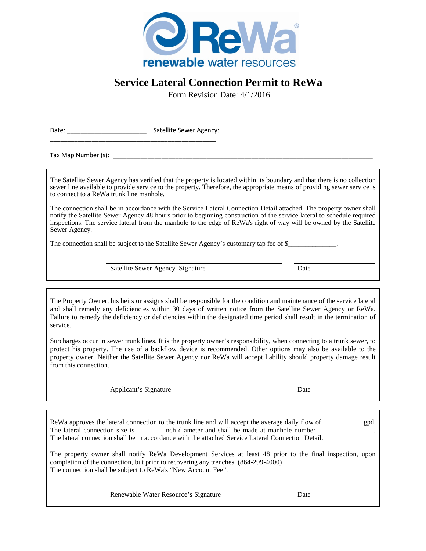

## **Service Lateral Connection Permit to ReWa**

Form Revision Date: 4/1/2016

Date: \_\_\_\_\_\_\_\_\_\_\_\_\_\_\_\_\_\_\_\_\_\_\_ Satellite Sewer Agency: \_\_\_\_\_\_\_\_\_\_\_\_\_\_\_\_\_\_\_\_\_\_\_\_\_\_\_\_\_\_\_\_\_\_\_\_\_\_\_\_\_\_\_\_\_\_\_\_

Tax Map Number (s):

The Satellite Sewer Agency has verified that the property is located within its boundary and that there is no collection sewer line available to provide service to the property. Therefore, the appropriate means of providing sewer service is to connect to a ReWa trunk line manhole.

The connection shall be in accordance with the Service Lateral Connection Detail attached. The property owner shall notify the Satellite Sewer Agency 48 hours prior to beginning construction of the service lateral to schedule required inspections. The service lateral from the manhole to the edge of ReWa's right of way will be owned by the Satellite Sewer Agency.

The connection shall be subject to the Satellite Sewer Agency's customary tap fee of \$

Satellite Sewer Agency Signature Date

The Property Owner, his heirs or assigns shall be responsible for the condition and maintenance of the service lateral and shall remedy any deficiencies within 30 days of written notice from the Satellite Sewer Agency or ReWa. Failure to remedy the deficiency or deficiencies within the designated time period shall result in the termination of service.

Surcharges occur in sewer trunk lines. It is the property owner's responsibility, when connecting to a trunk sewer, to protect his property. The use of a backflow device is recommended. Other options may also be available to the property owner. Neither the Satellite Sewer Agency nor ReWa will accept liability should property damage result from this connection.

Applicant's Signature Date

ReWa approves the lateral connection to the trunk line and will accept the average daily flow of gpd. The lateral connection size is \_\_\_\_\_\_\_\_\_\_\_ inch diameter and shall be made at manhole number \_ The lateral connection shall be in accordance with the attached Service Lateral Connection Detail.

The property owner shall notify ReWa Development Services at least 48 prior to the final inspection, upon completion of the connection, but prior to recovering any trenches. (864-299-4000) The connection shall be subject to ReWa's "New Account Fee".

Renewable Water Resource's Signature Date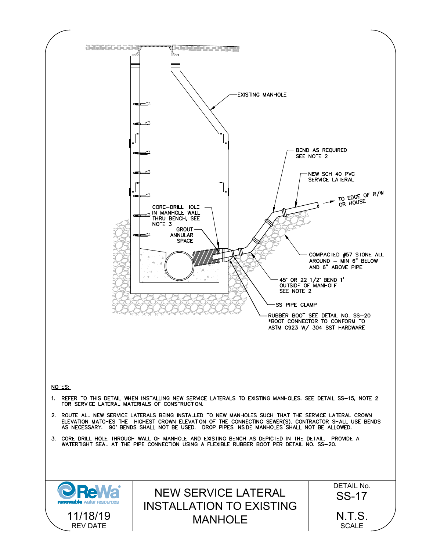